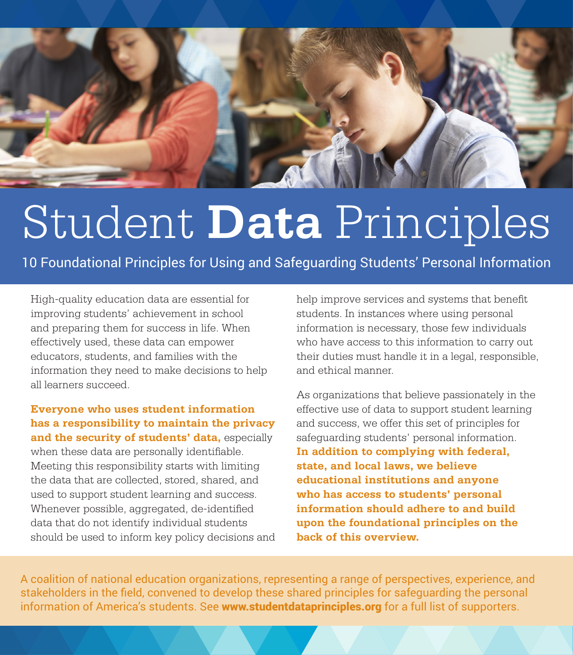

## Student **Data** Principles

10 Foundational Principles for Using and Safeguarding Students' Personal Information

High-quality education data are essential for improving students' achievement in school and preparing them for success in life. When effectively used, these data can empower educators, students, and families with the information they need to make decisions to help all learners succeed.

**Everyone who uses student information has a responsibility to maintain the privacy and the security of students' data,** especially when these data are personally identifiable. Meeting this responsibility starts with limiting the data that are collected, stored, shared, and used to support student learning and success. Whenever possible, aggregated, de-identified data that do not identify individual students should be used to inform key policy decisions and help improve services and systems that benefit students. In instances where using personal information is necessary, those few individuals who have access to this information to carry out their duties must handle it in a legal, responsible, and ethical manner.

As organizations that believe passionately in the effective use of data to support student learning and success, we offer this set of principles for safeguarding students' personal information. **In addition to complying with federal, state, and local laws, we believe educational institutions and anyone who has access to students' personal information should adhere to and build upon the foundational principles on the back of this overview.**

A coalition of national education organizations, representing a range of perspectives, experience, and stakeholders in the field, convened to develop these shared principles for safeguarding the personal information of America's students. See www.studentdataprinciples.org for a full list of supporters.